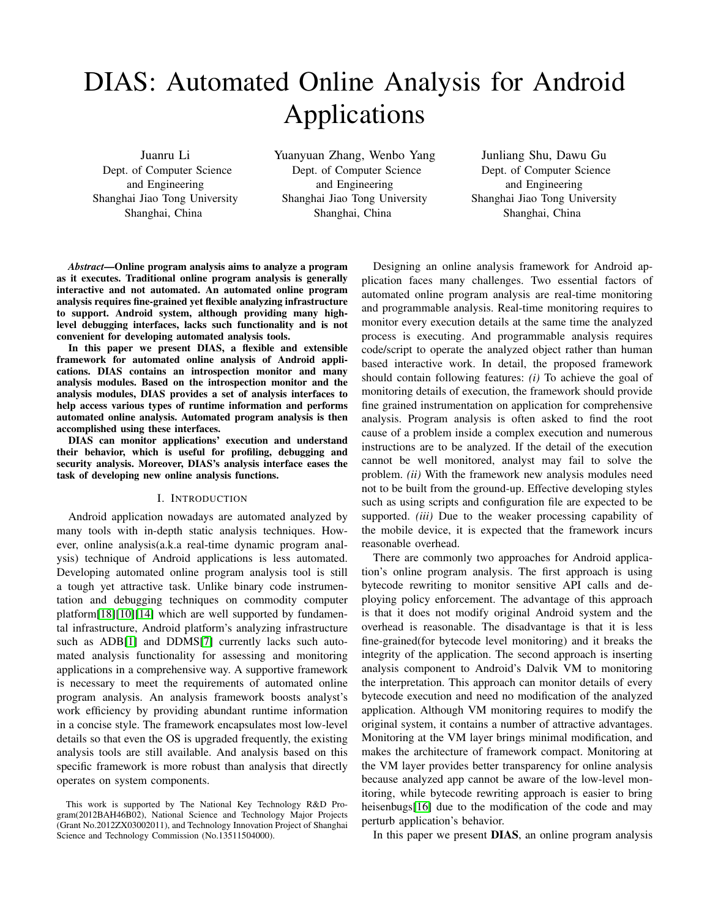# DIAS: Automated Online Analysis for Android Applications

Juanru Li Dept. of Computer Science and Engineering Shanghai Jiao Tong University Shanghai, China

Yuanyuan Zhang, Wenbo Yang Dept. of Computer Science and Engineering Shanghai Jiao Tong University Shanghai, China

Junliang Shu, Dawu Gu Dept. of Computer Science and Engineering Shanghai Jiao Tong University Shanghai, China

*Abstract*—Online program analysis aims to analyze a program as it executes. Traditional online program analysis is generally interactive and not automated. An automated online program analysis requires fine-grained yet flexible analyzing infrastructure to support. Android system, although providing many highlevel debugging interfaces, lacks such functionality and is not convenient for developing automated analysis tools.

In this paper we present DIAS, a flexible and extensible framework for automated online analysis of Android applications. DIAS contains an introspection monitor and many analysis modules. Based on the introspection monitor and the analysis modules, DIAS provides a set of analysis interfaces to help access various types of runtime information and performs automated online analysis. Automated program analysis is then accomplished using these interfaces.

DIAS can monitor applications' execution and understand their behavior, which is useful for profiling, debugging and security analysis. Moreover, DIAS's analysis interface eases the task of developing new online analysis functions.

# I. INTRODUCTION

Android application nowadays are automated analyzed by many tools with in-depth static analysis techniques. However, online analysis(a.k.a real-time dynamic program analysis) technique of Android applications is less automated. Developing automated online program analysis tool is still a tough yet attractive task. Unlike binary code instrumentation and debugging techniques on commodity computer platform[\[18\]](#page-7-0)[\[10\]](#page-7-1)[\[14\]](#page-7-2) which are well supported by fundamental infrastructure, Android platform's analyzing infrastructure such as ADB[\[1\]](#page-7-3) and DDMS[\[7\]](#page-7-4) currently lacks such automated analysis functionality for assessing and monitoring applications in a comprehensive way. A supportive framework is necessary to meet the requirements of automated online program analysis. An analysis framework boosts analyst's work efficiency by providing abundant runtime information in a concise style. The framework encapsulates most low-level details so that even the OS is upgraded frequently, the existing analysis tools are still available. And analysis based on this specific framework is more robust than analysis that directly operates on system components.

Designing an online analysis framework for Android application faces many challenges. Two essential factors of automated online program analysis are real-time monitoring and programmable analysis. Real-time monitoring requires to monitor every execution details at the same time the analyzed process is executing. And programmable analysis requires code/script to operate the analyzed object rather than human based interactive work. In detail, the proposed framework should contain following features: *(i)* To achieve the goal of monitoring details of execution, the framework should provide fine grained instrumentation on application for comprehensive analysis. Program analysis is often asked to find the root cause of a problem inside a complex execution and numerous instructions are to be analyzed. If the detail of the execution cannot be well monitored, analyst may fail to solve the problem. *(ii)* With the framework new analysis modules need not to be built from the ground-up. Effective developing styles such as using scripts and configuration file are expected to be supported. *(iii)* Due to the weaker processing capability of the mobile device, it is expected that the framework incurs reasonable overhead.

There are commonly two approaches for Android application's online program analysis. The first approach is using bytecode rewriting to monitor sensitive API calls and deploying policy enforcement. The advantage of this approach is that it does not modify original Android system and the overhead is reasonable. The disadvantage is that it is less fine-grained(for bytecode level monitoring) and it breaks the integrity of the application. The second approach is inserting analysis component to Android's Dalvik VM to monitoring the interpretation. This approach can monitor details of every bytecode execution and need no modification of the analyzed application. Although VM monitoring requires to modify the original system, it contains a number of attractive advantages. Monitoring at the VM layer brings minimal modification, and makes the architecture of framework compact. Monitoring at the VM layer provides better transparency for online analysis because analyzed app cannot be aware of the low-level monitoring, while bytecode rewriting approach is easier to bring heisenbugs[\[16\]](#page-7-5) due to the modification of the code and may perturb application's behavior.

In this paper we present DIAS, an online program analysis

This work is supported by The National Key Technology R&D Program(2012BAH46B02), National Science and Technology Major Projects (Grant No.2012ZX03002011), and Technology Innovation Project of Shanghai Science and Technology Commission (No.13511504000).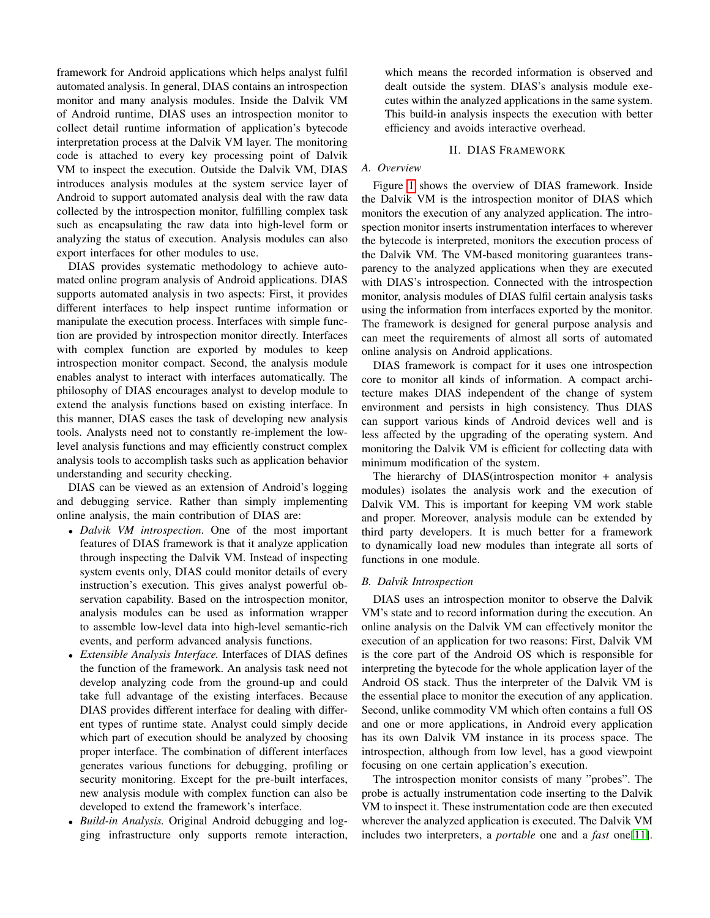framework for Android applications which helps analyst fulfil automated analysis. In general, DIAS contains an introspection monitor and many analysis modules. Inside the Dalvik VM of Android runtime, DIAS uses an introspection monitor to collect detail runtime information of application's bytecode interpretation process at the Dalvik VM layer. The monitoring code is attached to every key processing point of Dalvik VM to inspect the execution. Outside the Dalvik VM, DIAS introduces analysis modules at the system service layer of Android to support automated analysis deal with the raw data collected by the introspection monitor, fulfilling complex task such as encapsulating the raw data into high-level form or analyzing the status of execution. Analysis modules can also export interfaces for other modules to use.

DIAS provides systematic methodology to achieve automated online program analysis of Android applications. DIAS supports automated analysis in two aspects: First, it provides different interfaces to help inspect runtime information or manipulate the execution process. Interfaces with simple function are provided by introspection monitor directly. Interfaces with complex function are exported by modules to keep introspection monitor compact. Second, the analysis module enables analyst to interact with interfaces automatically. The philosophy of DIAS encourages analyst to develop module to extend the analysis functions based on existing interface. In this manner, DIAS eases the task of developing new analysis tools. Analysts need not to constantly re-implement the lowlevel analysis functions and may efficiently construct complex analysis tools to accomplish tasks such as application behavior understanding and security checking.

DIAS can be viewed as an extension of Android's logging and debugging service. Rather than simply implementing online analysis, the main contribution of DIAS are:

- *Dalvik VM introspection*. One of the most important features of DIAS framework is that it analyze application through inspecting the Dalvik VM. Instead of inspecting system events only, DIAS could monitor details of every instruction's execution. This gives analyst powerful observation capability. Based on the introspection monitor, analysis modules can be used as information wrapper to assemble low-level data into high-level semantic-rich events, and perform advanced analysis functions.
- *Extensible Analysis Interface.* Interfaces of DIAS defines the function of the framework. An analysis task need not develop analyzing code from the ground-up and could take full advantage of the existing interfaces. Because DIAS provides different interface for dealing with different types of runtime state. Analyst could simply decide which part of execution should be analyzed by choosing proper interface. The combination of different interfaces generates various functions for debugging, profiling or security monitoring. Except for the pre-built interfaces, new analysis module with complex function can also be developed to extend the framework's interface.
- *Build-in Analysis.* Original Android debugging and logging infrastructure only supports remote interaction,

which means the recorded information is observed and dealt outside the system. DIAS's analysis module executes within the analyzed applications in the same system. This build-in analysis inspects the execution with better efficiency and avoids interactive overhead.

# II. DIAS FRAMEWORK

# *A. Overview*

Figure [1](#page-2-0) shows the overview of DIAS framework. Inside the Dalvik VM is the introspection monitor of DIAS which monitors the execution of any analyzed application. The introspection monitor inserts instrumentation interfaces to wherever the bytecode is interpreted, monitors the execution process of the Dalvik VM. The VM-based monitoring guarantees transparency to the analyzed applications when they are executed with DIAS's introspection. Connected with the introspection monitor, analysis modules of DIAS fulfil certain analysis tasks using the information from interfaces exported by the monitor. The framework is designed for general purpose analysis and can meet the requirements of almost all sorts of automated online analysis on Android applications.

DIAS framework is compact for it uses one introspection core to monitor all kinds of information. A compact architecture makes DIAS independent of the change of system environment and persists in high consistency. Thus DIAS can support various kinds of Android devices well and is less affected by the upgrading of the operating system. And monitoring the Dalvik VM is efficient for collecting data with minimum modification of the system.

The hierarchy of DIAS(introspection monitor + analysis modules) isolates the analysis work and the execution of Dalvik VM. This is important for keeping VM work stable and proper. Moreover, analysis module can be extended by third party developers. It is much better for a framework to dynamically load new modules than integrate all sorts of functions in one module.

## *B. Dalvik Introspection*

DIAS uses an introspection monitor to observe the Dalvik VM's state and to record information during the execution. An online analysis on the Dalvik VM can effectively monitor the execution of an application for two reasons: First, Dalvik VM is the core part of the Android OS which is responsible for interpreting the bytecode for the whole application layer of the Android OS stack. Thus the interpreter of the Dalvik VM is the essential place to monitor the execution of any application. Second, unlike commodity VM which often contains a full OS and one or more applications, in Android every application has its own Dalvik VM instance in its process space. The introspection, although from low level, has a good viewpoint focusing on one certain application's execution.

The introspection monitor consists of many "probes". The probe is actually instrumentation code inserting to the Dalvik VM to inspect it. These instrumentation code are then executed wherever the analyzed application is executed. The Dalvik VM includes two interpreters, a *portable* one and a *fast* one[\[11\]](#page-7-6).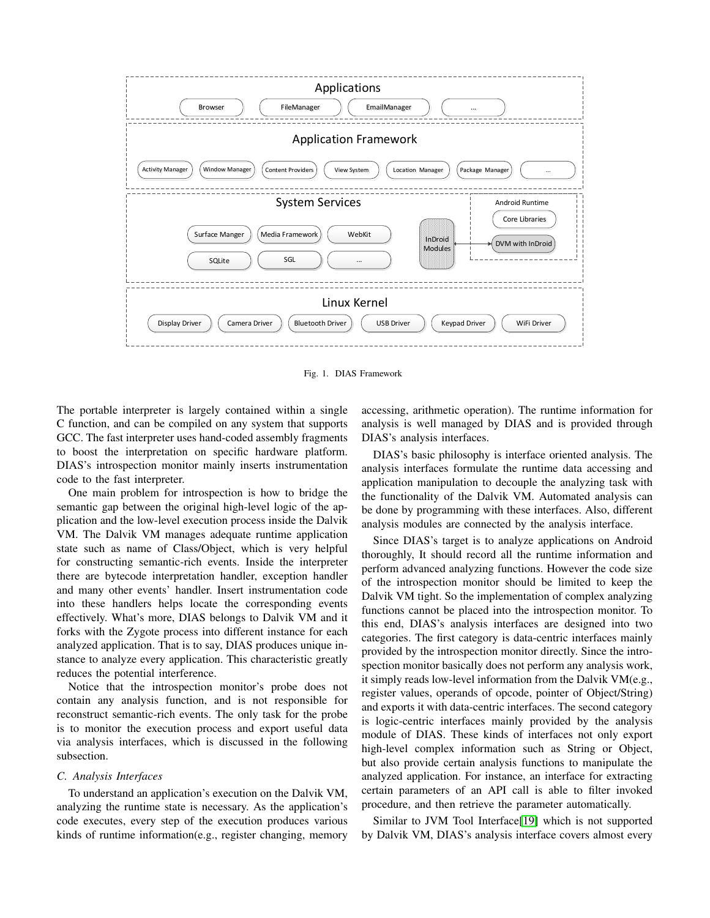

<span id="page-2-0"></span>Fig. 1. DIAS Framework

The portable interpreter is largely contained within a single C function, and can be compiled on any system that supports GCC. The fast interpreter uses hand-coded assembly fragments to boost the interpretation on specific hardware platform. DIAS's introspection monitor mainly inserts instrumentation code to the fast interpreter.

One main problem for introspection is how to bridge the semantic gap between the original high-level logic of the application and the low-level execution process inside the Dalvik VM. The Dalvik VM manages adequate runtime application state such as name of Class/Object, which is very helpful for constructing semantic-rich events. Inside the interpreter there are bytecode interpretation handler, exception handler and many other events' handler. Insert instrumentation code into these handlers helps locate the corresponding events effectively. What's more, DIAS belongs to Dalvik VM and it forks with the Zygote process into different instance for each analyzed application. That is to say, DIAS produces unique instance to analyze every application. This characteristic greatly reduces the potential interference.

Notice that the introspection monitor's probe does not contain any analysis function, and is not responsible for reconstruct semantic-rich events. The only task for the probe is to monitor the execution process and export useful data via analysis interfaces, which is discussed in the following subsection.

#### *C. Analysis Interfaces*

To understand an application's execution on the Dalvik VM, analyzing the runtime state is necessary. As the application's code executes, every step of the execution produces various kinds of runtime information(e.g., register changing, memory accessing, arithmetic operation). The runtime information for analysis is well managed by DIAS and is provided through DIAS's analysis interfaces.

DIAS's basic philosophy is interface oriented analysis. The analysis interfaces formulate the runtime data accessing and application manipulation to decouple the analyzing task with the functionality of the Dalvik VM. Automated analysis can be done by programming with these interfaces. Also, different analysis modules are connected by the analysis interface.

Since DIAS's target is to analyze applications on Android thoroughly, It should record all the runtime information and perform advanced analyzing functions. However the code size of the introspection monitor should be limited to keep the Dalvik VM tight. So the implementation of complex analyzing functions cannot be placed into the introspection monitor. To this end, DIAS's analysis interfaces are designed into two categories. The first category is data-centric interfaces mainly provided by the introspection monitor directly. Since the introspection monitor basically does not perform any analysis work, it simply reads low-level information from the Dalvik VM(e.g., register values, operands of opcode, pointer of Object/String) and exports it with data-centric interfaces. The second category is logic-centric interfaces mainly provided by the analysis module of DIAS. These kinds of interfaces not only export high-level complex information such as String or Object, but also provide certain analysis functions to manipulate the analyzed application. For instance, an interface for extracting certain parameters of an API call is able to filter invoked procedure, and then retrieve the parameter automatically.

Similar to JVM Tool Interface[\[19\]](#page-7-7) which is not supported by Dalvik VM, DIAS's analysis interface covers almost every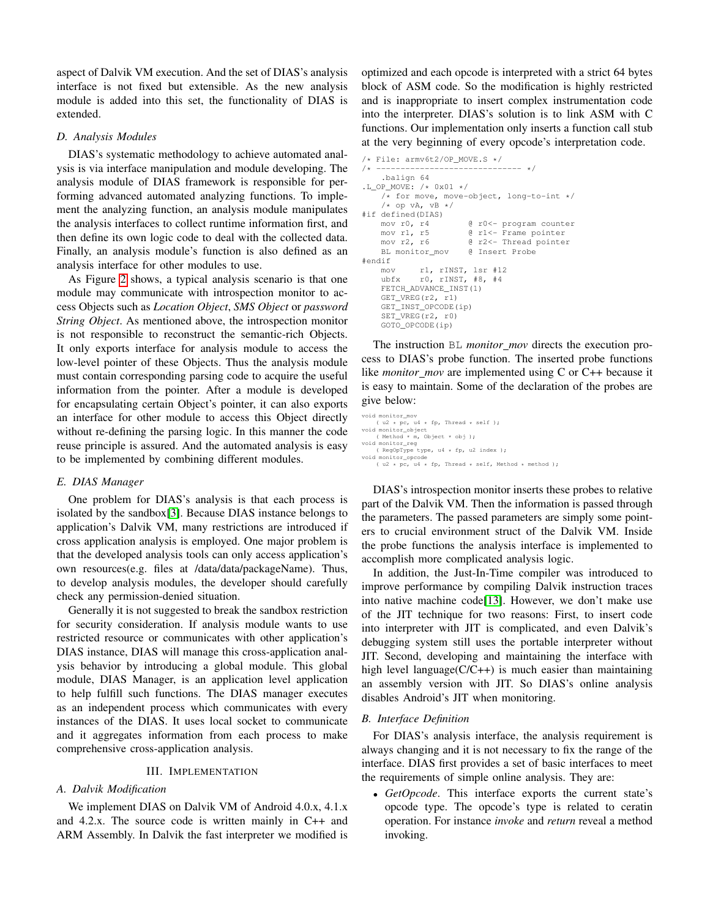aspect of Dalvik VM execution. And the set of DIAS's analysis interface is not fixed but extensible. As the new analysis module is added into this set, the functionality of DIAS is extended.

### *D. Analysis Modules*

DIAS's systematic methodology to achieve automated analysis is via interface manipulation and module developing. The analysis module of DIAS framework is responsible for performing advanced automated analyzing functions. To implement the analyzing function, an analysis module manipulates the analysis interfaces to collect runtime information first, and then define its own logic code to deal with the collected data. Finally, an analysis module's function is also defined as an analysis interface for other modules to use.

As Figure [2](#page-4-0) shows, a typical analysis scenario is that one module may communicate with introspection monitor to access Objects such as *Location Object*, *SMS Object* or *password String Object*. As mentioned above, the introspection monitor is not responsible to reconstruct the semantic-rich Objects. It only exports interface for analysis module to access the low-level pointer of these Objects. Thus the analysis module must contain corresponding parsing code to acquire the useful information from the pointer. After a module is developed for encapsulating certain Object's pointer, it can also exports an interface for other module to access this Object directly without re-defining the parsing logic. In this manner the code reuse principle is assured. And the automated analysis is easy to be implemented by combining different modules.

### *E. DIAS Manager*

One problem for DIAS's analysis is that each process is isolated by the sandbox[\[3\]](#page-7-8). Because DIAS instance belongs to application's Dalvik VM, many restrictions are introduced if cross application analysis is employed. One major problem is that the developed analysis tools can only access application's own resources(e.g. files at /data/data/packageName). Thus, to develop analysis modules, the developer should carefully check any permission-denied situation.

Generally it is not suggested to break the sandbox restriction for security consideration. If analysis module wants to use restricted resource or communicates with other application's DIAS instance, DIAS will manage this cross-application analysis behavior by introducing a global module. This global module, DIAS Manager, is an application level application to help fulfill such functions. The DIAS manager executes as an independent process which communicates with every instances of the DIAS. It uses local socket to communicate and it aggregates information from each process to make comprehensive cross-application analysis.

## III. IMPLEMENTATION

# *A. Dalvik Modification*

We implement DIAS on Dalvik VM of Android 4.0.x, 4.1.x and 4.2.x. The source code is written mainly in C++ and ARM Assembly. In Dalvik the fast interpreter we modified is

optimized and each opcode is interpreted with a strict 64 bytes block of ASM code. So the modification is highly restricted and is inappropriate to insert complex instrumentation code into the interpreter. DIAS's solution is to link ASM with C functions. Our implementation only inserts a function call stub at the very beginning of every opcode's interpretation code.

```
/* File: armv6t2/OP_MOVE.S */
/* ------------------------------ */
    .balign 64
.L_OP_MOVE: /* 0x01 */
    \sqrt{*} for move, move-object, long-to-int */
    /* op vA, vB */
#if defined(DIAS)<br>mov r0, r4
                      @ r0 <- program counter
   mov r1, r5 @ r1<- Frame pointer
   mov r2, r6 @ r2<- Thread pointer
   BL monitor_mov @ Insert Probe
#endif
   mov r1, rINST, lsr #12
   ubfx r0, rINST, #8, #4
   FETCH ADVANCE INST(1)
   GET_VREG(r2, r1)
   GET_INST_OPCODE(ip)
    SET_VREG(r2, r0)
   GOTO_OPCODE(ip)
```
The instruction BL *monitor mov* directs the execution process to DIAS's probe function. The inserted probe functions like *monitor mov* are implemented using C or C++ because it is easy to maintain. Some of the declaration of the probes are give below:

```
void monitor m
( u2 * pc, u4 * fp, Thread * self );
void monitor_object
     ( Method * m, Object * obj );
void monitor_reg<br>( RegOpType type, u4 * fp, u2 index );
void monitor_opcode<br>( u2 * pc, u4 * fp, Thread * self, Method * method );
```
DIAS's introspection monitor inserts these probes to relative part of the Dalvik VM. Then the information is passed through the parameters. The passed parameters are simply some pointers to crucial environment struct of the Dalvik VM. Inside the probe functions the analysis interface is implemented to accomplish more complicated analysis logic.

In addition, the Just-In-Time compiler was introduced to improve performance by compiling Dalvik instruction traces into native machine code[\[13\]](#page-7-9). However, we don't make use of the JIT technique for two reasons: First, to insert code into interpreter with JIT is complicated, and even Dalvik's debugging system still uses the portable interpreter without JIT. Second, developing and maintaining the interface with high level language( $C/C++$ ) is much easier than maintaining an assembly version with JIT. So DIAS's online analysis disables Android's JIT when monitoring.

# *B. Interface Definition*

For DIAS's analysis interface, the analysis requirement is always changing and it is not necessary to fix the range of the interface. DIAS first provides a set of basic interfaces to meet the requirements of simple online analysis. They are:

• *GetOpcode*. This interface exports the current state's opcode type. The opcode's type is related to ceratin operation. For instance *invoke* and *return* reveal a method invoking.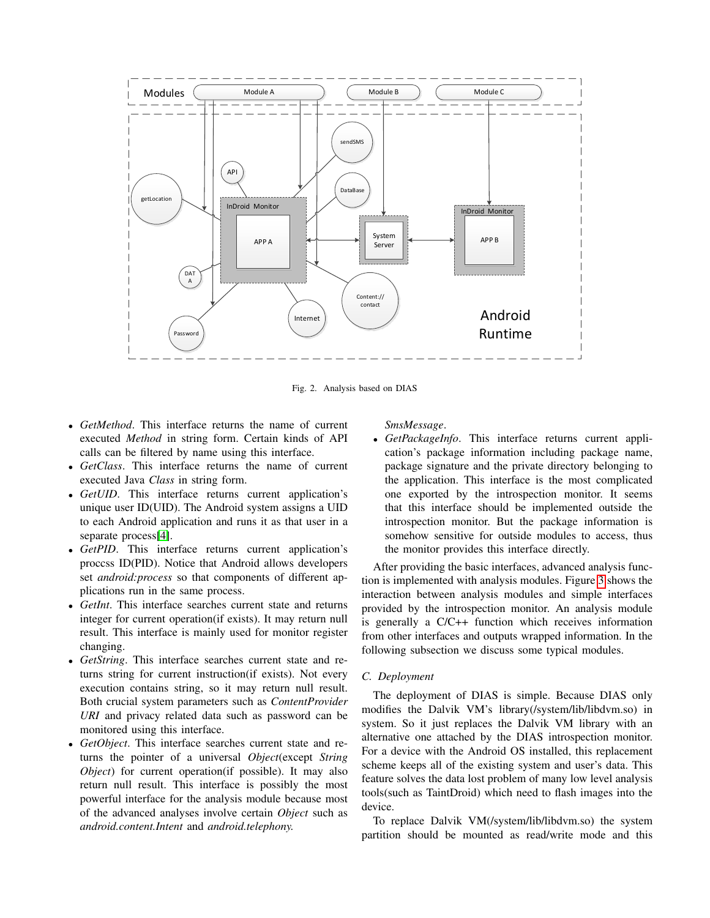

<span id="page-4-0"></span>Fig. 2. Analysis based on DIAS

- *GetMethod*. This interface returns the name of current executed *Method* in string form. Certain kinds of API calls can be filtered by name using this interface.
- *GetClass*. This interface returns the name of current executed Java *Class* in string form.
- *GetUID*. This interface returns current application's unique user ID(UID). The Android system assigns a UID to each Android application and runs it as that user in a separate process[\[4\]](#page-7-10).
- *GetPID*. This interface returns current application's proccss ID(PID). Notice that Android allows developers set *android:process* so that components of different applications run in the same process.
- *GetInt*. This interface searches current state and returns integer for current operation(if exists). It may return null result. This interface is mainly used for monitor register changing.
- *GetString*. This interface searches current state and returns string for current instruction(if exists). Not every execution contains string, so it may return null result. Both crucial system parameters such as *ContentProvider URI* and privacy related data such as password can be monitored using this interface.
- *GetObject*. This interface searches current state and returns the pointer of a universal *Object*(except *String Object*) for current operation(if possible). It may also return null result. This interface is possibly the most powerful interface for the analysis module because most of the advanced analyses involve certain *Object* such as *android.content.Intent* and *android.telephony.*

*SmsMessage*.

• *GetPackageInfo*. This interface returns current application's package information including package name, package signature and the private directory belonging to the application. This interface is the most complicated one exported by the introspection monitor. It seems that this interface should be implemented outside the introspection monitor. But the package information is somehow sensitive for outside modules to access, thus the monitor provides this interface directly.

After providing the basic interfaces, advanced analysis function is implemented with analysis modules. Figure [3](#page-5-0) shows the interaction between analysis modules and simple interfaces provided by the introspection monitor. An analysis module is generally a C/C++ function which receives information from other interfaces and outputs wrapped information. In the following subsection we discuss some typical modules.

# *C. Deployment*

The deployment of DIAS is simple. Because DIAS only modifies the Dalvik VM's library(/system/lib/libdvm.so) in system. So it just replaces the Dalvik VM library with an alternative one attached by the DIAS introspection monitor. For a device with the Android OS installed, this replacement scheme keeps all of the existing system and user's data. This feature solves the data lost problem of many low level analysis tools(such as TaintDroid) which need to flash images into the device.

To replace Dalvik VM(/system/lib/libdvm.so) the system partition should be mounted as read/write mode and this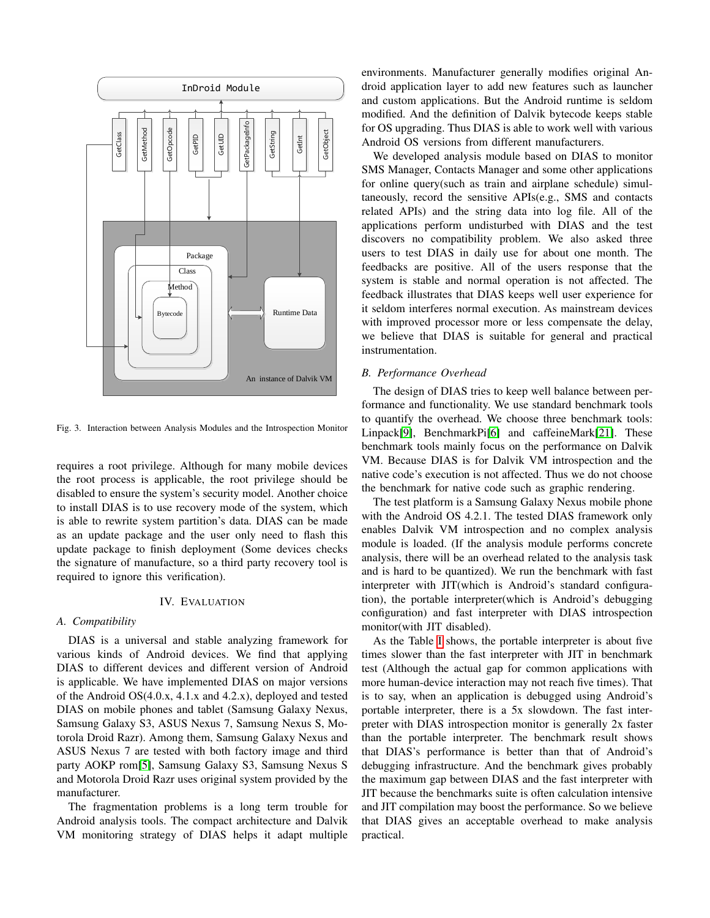

<span id="page-5-0"></span>Fig. 3. Interaction between Analysis Modules and the Introspection Monitor

requires a root privilege. Although for many mobile devices the root process is applicable, the root privilege should be disabled to ensure the system's security model. Another choice to install DIAS is to use recovery mode of the system, which is able to rewrite system partition's data. DIAS can be made as an update package and the user only need to flash this update package to finish deployment (Some devices checks the signature of manufacture, so a third party recovery tool is required to ignore this verification).

## IV. EVALUATION

#### *A. Compatibility*

DIAS is a universal and stable analyzing framework for various kinds of Android devices. We find that applying DIAS to different devices and different version of Android is applicable. We have implemented DIAS on major versions of the Android OS(4.0.x, 4.1.x and 4.2.x), deployed and tested DIAS on mobile phones and tablet (Samsung Galaxy Nexus, Samsung Galaxy S3, ASUS Nexus 7, Samsung Nexus S, Motorola Droid Razr). Among them, Samsung Galaxy Nexus and ASUS Nexus 7 are tested with both factory image and third party AOKP rom[\[5\]](#page-7-11), Samsung Galaxy S3, Samsung Nexus S and Motorola Droid Razr uses original system provided by the manufacturer.

The fragmentation problems is a long term trouble for Android analysis tools. The compact architecture and Dalvik VM monitoring strategy of DIAS helps it adapt multiple environments. Manufacturer generally modifies original Android application layer to add new features such as launcher and custom applications. But the Android runtime is seldom modified. And the definition of Dalvik bytecode keeps stable for OS upgrading. Thus DIAS is able to work well with various Android OS versions from different manufacturers.

We developed analysis module based on DIAS to monitor SMS Manager, Contacts Manager and some other applications for online query(such as train and airplane schedule) simultaneously, record the sensitive APIs(e.g., SMS and contacts related APIs) and the string data into log file. All of the applications perform undisturbed with DIAS and the test discovers no compatibility problem. We also asked three users to test DIAS in daily use for about one month. The feedbacks are positive. All of the users response that the system is stable and normal operation is not affected. The feedback illustrates that DIAS keeps well user experience for it seldom interferes normal execution. As mainstream devices with improved processor more or less compensate the delay, we believe that DIAS is suitable for general and practical instrumentation.

#### *B. Performance Overhead*

The design of DIAS tries to keep well balance between performance and functionality. We use standard benchmark tools to quantify the overhead. We choose three benchmark tools: Linpack[\[9\]](#page-7-12), BenchmarkPi[\[6\]](#page-7-13) and caffeineMark[\[21\]](#page-7-14). These benchmark tools mainly focus on the performance on Dalvik VM. Because DIAS is for Dalvik VM introspection and the native code's execution is not affected. Thus we do not choose the benchmark for native code such as graphic rendering.

The test platform is a Samsung Galaxy Nexus mobile phone with the Android OS 4.2.1. The tested DIAS framework only enables Dalvik VM introspection and no complex analysis module is loaded. (If the analysis module performs concrete analysis, there will be an overhead related to the analysis task and is hard to be quantized). We run the benchmark with fast interpreter with JIT(which is Android's standard configuration), the portable interpreter(which is Android's debugging configuration) and fast interpreter with DIAS introspection monitor(with JIT disabled).

As the Table [I](#page-6-0) shows, the portable interpreter is about five times slower than the fast interpreter with JIT in benchmark test (Although the actual gap for common applications with more human-device interaction may not reach five times). That is to say, when an application is debugged using Android's portable interpreter, there is a 5x slowdown. The fast interpreter with DIAS introspection monitor is generally 2x faster than the portable interpreter. The benchmark result shows that DIAS's performance is better than that of Android's debugging infrastructure. And the benchmark gives probably the maximum gap between DIAS and the fast interpreter with JIT because the benchmarks suite is often calculation intensive and JIT compilation may boost the performance. So we believe that DIAS gives an acceptable overhead to make analysis practical.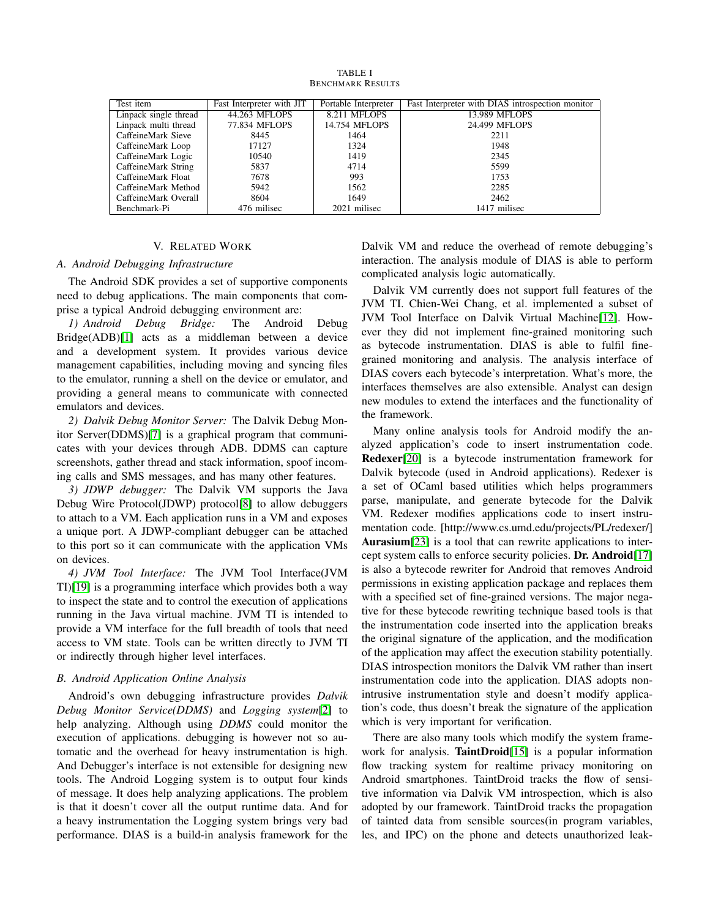<span id="page-6-0"></span>

| Test item             | Fast Interpreter with JIT | Portable Interpreter | Fast Interpreter with DIAS introspection monitor |
|-----------------------|---------------------------|----------------------|--------------------------------------------------|
| Linpack single thread | 44.263 MFLOPS             | 8.211 MFLOPS         | 13.989 MFLOPS                                    |
| Linpack multi thread  | 77.834 MFLOPS             | 14.754 MFLOPS        | 24.499 MFLOPS                                    |
| CaffeineMark Sieve    | 8445                      | 1464                 | 2211                                             |
| CaffeineMark Loop     | 17127                     | 1324                 | 1948                                             |
| CaffeineMark Logic    | 10540                     | 1419                 | 2345                                             |
| CaffeineMark String   | 5837                      | 4714                 | 5599                                             |
| CaffeineMark Float    | 7678                      | 993                  | 1753                                             |
| CaffeineMark Method   | 5942                      | 1562                 | 2285                                             |
| CaffeineMark Overall  | 8604                      | 1649                 | 2462                                             |
| Benchmark-Pi          | 476 milisec               | 2021 milisec         | 1417 milisec                                     |

TABLE I BENCHMARK RESULTS

## V. RELATED WORK

## *A. Android Debugging Infrastructure*

The Android SDK provides a set of supportive components need to debug applications. The main components that comprise a typical Android debugging environment are:

*1) Android Debug Bridge:* The Android Debug Bridge(ADB)[\[1\]](#page-7-3) acts as a middleman between a device and a development system. It provides various device management capabilities, including moving and syncing files to the emulator, running a shell on the device or emulator, and providing a general means to communicate with connected emulators and devices.

*2) Dalvik Debug Monitor Server:* The Dalvik Debug Monitor Server(DDMS)[\[7\]](#page-7-4) is a graphical program that communicates with your devices through ADB. DDMS can capture screenshots, gather thread and stack information, spoof incoming calls and SMS messages, and has many other features.

*3) JDWP debugger:* The Dalvik VM supports the Java Debug Wire Protocol(JDWP) protocol[\[8\]](#page-7-15) to allow debuggers to attach to a VM. Each application runs in a VM and exposes a unique port. A JDWP-compliant debugger can be attached to this port so it can communicate with the application VMs on devices.

*4) JVM Tool Interface:* The JVM Tool Interface(JVM TI)[\[19\]](#page-7-7) is a programming interface which provides both a way to inspect the state and to control the execution of applications running in the Java virtual machine. JVM TI is intended to provide a VM interface for the full breadth of tools that need access to VM state. Tools can be written directly to JVM TI or indirectly through higher level interfaces.

#### *B. Android Application Online Analysis*

Android's own debugging infrastructure provides *Dalvik Debug Monitor Service(DDMS)* and *Logging system*[\[2\]](#page-7-16) to help analyzing. Although using *DDMS* could monitor the execution of applications. debugging is however not so automatic and the overhead for heavy instrumentation is high. And Debugger's interface is not extensible for designing new tools. The Android Logging system is to output four kinds of message. It does help analyzing applications. The problem is that it doesn't cover all the output runtime data. And for a heavy instrumentation the Logging system brings very bad performance. DIAS is a build-in analysis framework for the Dalvik VM and reduce the overhead of remote debugging's interaction. The analysis module of DIAS is able to perform complicated analysis logic automatically.

Dalvik VM currently does not support full features of the JVM TI. Chien-Wei Chang, et al. implemented a subset of JVM Tool Interface on Dalvik Virtual Machine[\[12\]](#page-7-17). However they did not implement fine-grained monitoring such as bytecode instrumentation. DIAS is able to fulfil finegrained monitoring and analysis. The analysis interface of DIAS covers each bytecode's interpretation. What's more, the interfaces themselves are also extensible. Analyst can design new modules to extend the interfaces and the functionality of the framework.

Many online analysis tools for Android modify the analyzed application's code to insert instrumentation code. Redexer[\[20\]](#page-7-18) is a bytecode instrumentation framework for Dalvik bytecode (used in Android applications). Redexer is a set of OCaml based utilities which helps programmers parse, manipulate, and generate bytecode for the Dalvik VM. Redexer modifies applications code to insert instrumentation code. [http://www.cs.umd.edu/projects/PL/redexer/] Aurasium<sup>[\[23\]](#page-7-19)</sup> is a tool that can rewrite applications to inter-cept system calls to enforce security policies. Dr. Android<sup>[\[17\]](#page-7-20)</sup> is also a bytecode rewriter for Android that removes Android permissions in existing application package and replaces them with a specified set of fine-grained versions. The major negative for these bytecode rewriting technique based tools is that the instrumentation code inserted into the application breaks the original signature of the application, and the modification of the application may affect the execution stability potentially. DIAS introspection monitors the Dalvik VM rather than insert instrumentation code into the application. DIAS adopts nonintrusive instrumentation style and doesn't modify application's code, thus doesn't break the signature of the application which is very important for verification.

There are also many tools which modify the system frame-work for analysis. TaintDroid[\[15\]](#page-7-21) is a popular information flow tracking system for realtime privacy monitoring on Android smartphones. TaintDroid tracks the flow of sensitive information via Dalvik VM introspection, which is also adopted by our framework. TaintDroid tracks the propagation of tainted data from sensible sources(in program variables, les, and IPC) on the phone and detects unauthorized leak